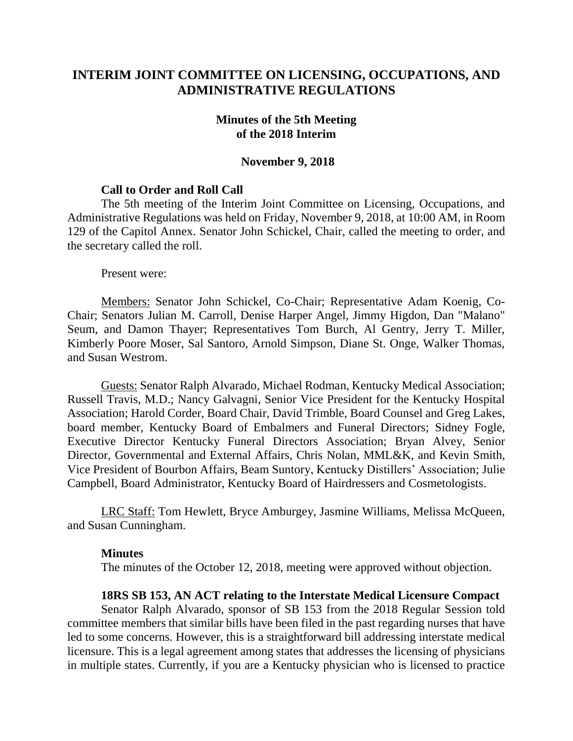# **INTERIM JOINT COMMITTEE ON LICENSING, OCCUPATIONS, AND ADMINISTRATIVE REGULATIONS**

### **Minutes of the 5th Meeting of the 2018 Interim**

#### **November 9, 2018**

### **Call to Order and Roll Call**

The 5th meeting of the Interim Joint Committee on Licensing, Occupations, and Administrative Regulations was held on Friday, November 9, 2018, at 10:00 AM, in Room 129 of the Capitol Annex. Senator John Schickel, Chair, called the meeting to order, and the secretary called the roll.

Present were:

Members: Senator John Schickel, Co-Chair; Representative Adam Koenig, Co-Chair; Senators Julian M. Carroll, Denise Harper Angel, Jimmy Higdon, Dan "Malano" Seum, and Damon Thayer; Representatives Tom Burch, Al Gentry, Jerry T. Miller, Kimberly Poore Moser, Sal Santoro, Arnold Simpson, Diane St. Onge, Walker Thomas, and Susan Westrom.

Guests: Senator Ralph Alvarado, Michael Rodman, Kentucky Medical Association; Russell Travis, M.D.; Nancy Galvagni, Senior Vice President for the Kentucky Hospital Association; Harold Corder, Board Chair, David Trimble, Board Counsel and Greg Lakes, board member, Kentucky Board of Embalmers and Funeral Directors; Sidney Fogle, Executive Director Kentucky Funeral Directors Association; Bryan Alvey, Senior Director, Governmental and External Affairs, Chris Nolan, MML&K, and Kevin Smith, Vice President of Bourbon Affairs, Beam Suntory, Kentucky Distillers' Association; Julie Campbell, Board Administrator, Kentucky Board of Hairdressers and Cosmetologists.

LRC Staff: Tom Hewlett, Bryce Amburgey, Jasmine Williams, Melissa McQueen, and Susan Cunningham.

#### **Minutes**

The minutes of the October 12, 2018, meeting were approved without objection.

#### **18RS SB 153, AN ACT relating to the Interstate Medical Licensure Compact**

Senator Ralph Alvarado, sponsor of SB 153 from the 2018 Regular Session told committee members that similar bills have been filed in the past regarding nurses that have led to some concerns. However, this is a straightforward bill addressing interstate medical licensure. This is a legal agreement among states that addresses the licensing of physicians in multiple states. Currently, if you are a Kentucky physician who is licensed to practice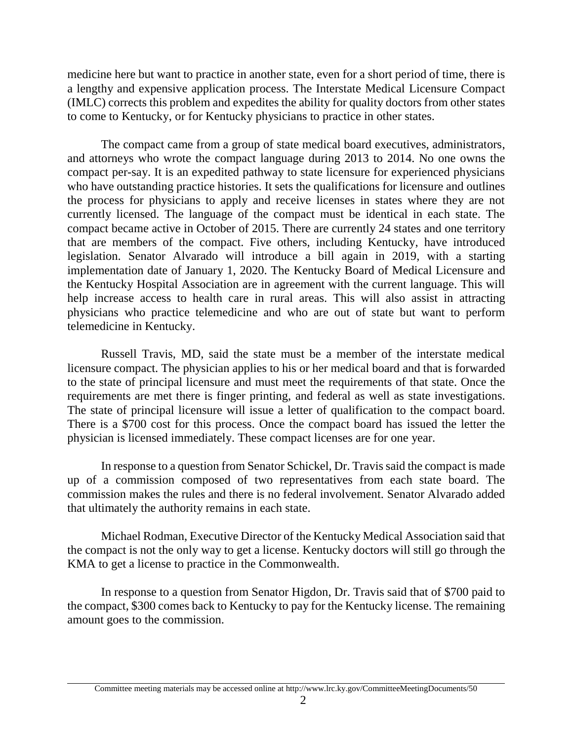medicine here but want to practice in another state, even for a short period of time, there is a lengthy and expensive application process. The Interstate Medical Licensure Compact (IMLC) corrects this problem and expedites the ability for quality doctors from other states to come to Kentucky, or for Kentucky physicians to practice in other states.

The compact came from a group of state medical board executives, administrators, and attorneys who wrote the compact language during 2013 to 2014. No one owns the compact per-say. It is an expedited pathway to state licensure for experienced physicians who have outstanding practice histories. It sets the qualifications for licensure and outlines the process for physicians to apply and receive licenses in states where they are not currently licensed. The language of the compact must be identical in each state. The compact became active in October of 2015. There are currently 24 states and one territory that are members of the compact. Five others, including Kentucky, have introduced legislation. Senator Alvarado will introduce a bill again in 2019, with a starting implementation date of January 1, 2020. The Kentucky Board of Medical Licensure and the Kentucky Hospital Association are in agreement with the current language. This will help increase access to health care in rural areas. This will also assist in attracting physicians who practice telemedicine and who are out of state but want to perform telemedicine in Kentucky.

Russell Travis, MD, said the state must be a member of the interstate medical licensure compact. The physician applies to his or her medical board and that is forwarded to the state of principal licensure and must meet the requirements of that state. Once the requirements are met there is finger printing, and federal as well as state investigations. The state of principal licensure will issue a letter of qualification to the compact board. There is a \$700 cost for this process. Once the compact board has issued the letter the physician is licensed immediately. These compact licenses are for one year.

In response to a question from Senator Schickel, Dr. Travis said the compact is made up of a commission composed of two representatives from each state board. The commission makes the rules and there is no federal involvement. Senator Alvarado added that ultimately the authority remains in each state.

Michael Rodman, Executive Director of the Kentucky Medical Association said that the compact is not the only way to get a license. Kentucky doctors will still go through the KMA to get a license to practice in the Commonwealth.

In response to a question from Senator Higdon, Dr. Travis said that of \$700 paid to the compact, \$300 comes back to Kentucky to pay for the Kentucky license. The remaining amount goes to the commission.

Committee meeting materials may be accessed online at http://www.lrc.ky.gov/CommitteeMeetingDocuments/50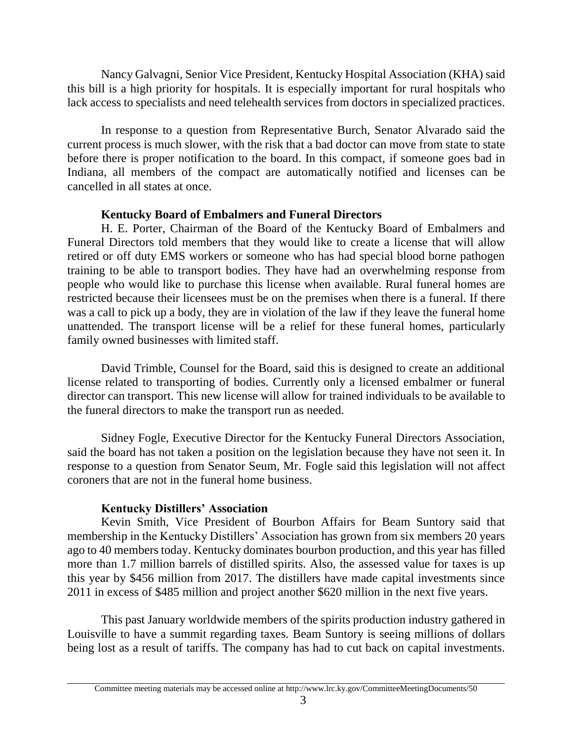Nancy Galvagni, Senior Vice President, Kentucky Hospital Association (KHA) said this bill is a high priority for hospitals. It is especially important for rural hospitals who lack access to specialists and need telehealth services from doctors in specialized practices.

In response to a question from Representative Burch, Senator Alvarado said the current process is much slower, with the risk that a bad doctor can move from state to state before there is proper notification to the board. In this compact, if someone goes bad in Indiana, all members of the compact are automatically notified and licenses can be cancelled in all states at once.

### **Kentucky Board of Embalmers and Funeral Directors**

H. E. Porter, Chairman of the Board of the Kentucky Board of Embalmers and Funeral Directors told members that they would like to create a license that will allow retired or off duty EMS workers or someone who has had special blood borne pathogen training to be able to transport bodies. They have had an overwhelming response from people who would like to purchase this license when available. Rural funeral homes are restricted because their licensees must be on the premises when there is a funeral. If there was a call to pick up a body, they are in violation of the law if they leave the funeral home unattended. The transport license will be a relief for these funeral homes, particularly family owned businesses with limited staff.

David Trimble, Counsel for the Board, said this is designed to create an additional license related to transporting of bodies. Currently only a licensed embalmer or funeral director can transport. This new license will allow for trained individuals to be available to the funeral directors to make the transport run as needed.

Sidney Fogle, Executive Director for the Kentucky Funeral Directors Association, said the board has not taken a position on the legislation because they have not seen it. In response to a question from Senator Seum, Mr. Fogle said this legislation will not affect coroners that are not in the funeral home business.

## **Kentucky Distillers' Association**

Kevin Smith, Vice President of Bourbon Affairs for Beam Suntory said that membership in the Kentucky Distillers' Association has grown from six members 20 years ago to 40 members today. Kentucky dominates bourbon production, and this year has filled more than 1.7 million barrels of distilled spirits. Also, the assessed value for taxes is up this year by \$456 million from 2017. The distillers have made capital investments since 2011 in excess of \$485 million and project another \$620 million in the next five years.

This past January worldwide members of the spirits production industry gathered in Louisville to have a summit regarding taxes. Beam Suntory is seeing millions of dollars being lost as a result of tariffs. The company has had to cut back on capital investments.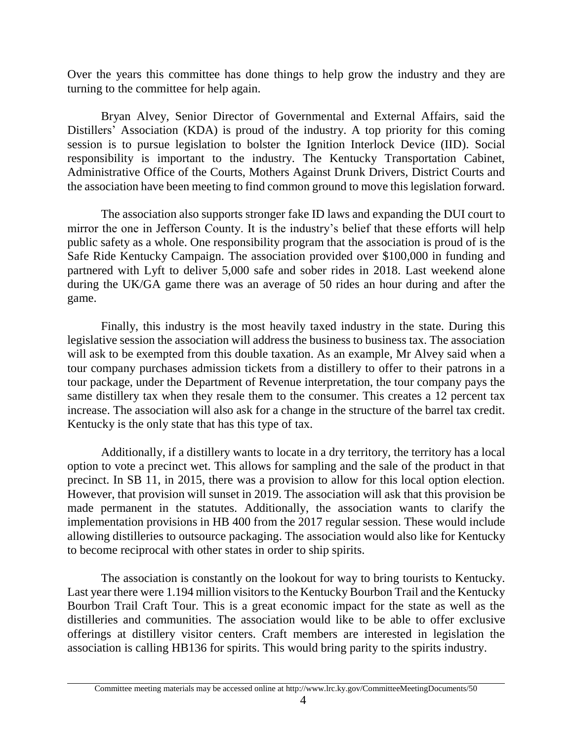Over the years this committee has done things to help grow the industry and they are turning to the committee for help again.

Bryan Alvey, Senior Director of Governmental and External Affairs, said the Distillers' Association (KDA) is proud of the industry. A top priority for this coming session is to pursue legislation to bolster the Ignition Interlock Device (IID). Social responsibility is important to the industry. The Kentucky Transportation Cabinet, Administrative Office of the Courts, Mothers Against Drunk Drivers, District Courts and the association have been meeting to find common ground to move this legislation forward.

The association also supports stronger fake ID laws and expanding the DUI court to mirror the one in Jefferson County. It is the industry's belief that these efforts will help public safety as a whole. One responsibility program that the association is proud of is the Safe Ride Kentucky Campaign. The association provided over \$100,000 in funding and partnered with Lyft to deliver 5,000 safe and sober rides in 2018. Last weekend alone during the UK/GA game there was an average of 50 rides an hour during and after the game.

Finally, this industry is the most heavily taxed industry in the state. During this legislative session the association will address the business to business tax. The association will ask to be exempted from this double taxation. As an example, Mr Alvey said when a tour company purchases admission tickets from a distillery to offer to their patrons in a tour package, under the Department of Revenue interpretation, the tour company pays the same distillery tax when they resale them to the consumer. This creates a 12 percent tax increase. The association will also ask for a change in the structure of the barrel tax credit. Kentucky is the only state that has this type of tax.

Additionally, if a distillery wants to locate in a dry territory, the territory has a local option to vote a precinct wet. This allows for sampling and the sale of the product in that precinct. In SB 11, in 2015, there was a provision to allow for this local option election. However, that provision will sunset in 2019. The association will ask that this provision be made permanent in the statutes. Additionally, the association wants to clarify the implementation provisions in HB 400 from the 2017 regular session. These would include allowing distilleries to outsource packaging. The association would also like for Kentucky to become reciprocal with other states in order to ship spirits.

The association is constantly on the lookout for way to bring tourists to Kentucky. Last year there were 1.194 million visitors to the Kentucky Bourbon Trail and the Kentucky Bourbon Trail Craft Tour. This is a great economic impact for the state as well as the distilleries and communities. The association would like to be able to offer exclusive offerings at distillery visitor centers. Craft members are interested in legislation the association is calling HB136 for spirits. This would bring parity to the spirits industry.

Committee meeting materials may be accessed online at http://www.lrc.ky.gov/CommitteeMeetingDocuments/50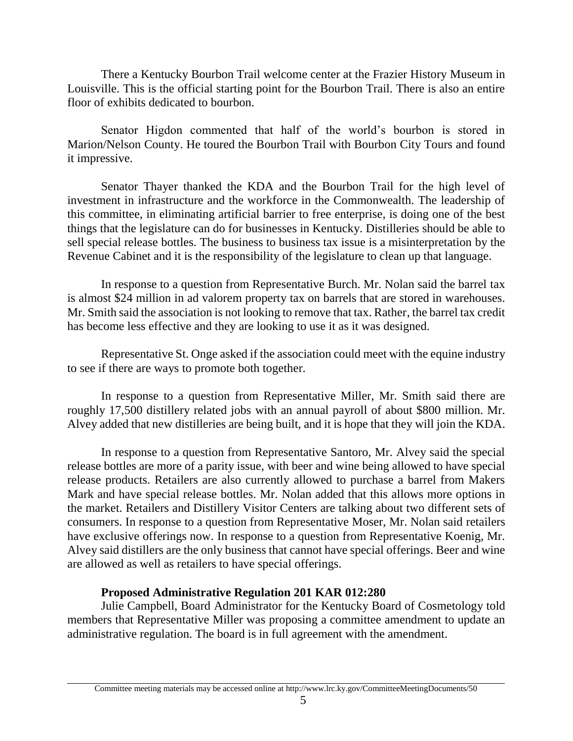There a Kentucky Bourbon Trail welcome center at the Frazier History Museum in Louisville. This is the official starting point for the Bourbon Trail. There is also an entire floor of exhibits dedicated to bourbon.

Senator Higdon commented that half of the world's bourbon is stored in Marion/Nelson County. He toured the Bourbon Trail with Bourbon City Tours and found it impressive.

Senator Thayer thanked the KDA and the Bourbon Trail for the high level of investment in infrastructure and the workforce in the Commonwealth. The leadership of this committee, in eliminating artificial barrier to free enterprise, is doing one of the best things that the legislature can do for businesses in Kentucky. Distilleries should be able to sell special release bottles. The business to business tax issue is a misinterpretation by the Revenue Cabinet and it is the responsibility of the legislature to clean up that language.

In response to a question from Representative Burch. Mr. Nolan said the barrel tax is almost \$24 million in ad valorem property tax on barrels that are stored in warehouses. Mr. Smith said the association is not looking to remove that tax. Rather, the barrel tax credit has become less effective and they are looking to use it as it was designed.

Representative St. Onge asked if the association could meet with the equine industry to see if there are ways to promote both together.

In response to a question from Representative Miller, Mr. Smith said there are roughly 17,500 distillery related jobs with an annual payroll of about \$800 million. Mr. Alvey added that new distilleries are being built, and it is hope that they will join the KDA.

In response to a question from Representative Santoro, Mr. Alvey said the special release bottles are more of a parity issue, with beer and wine being allowed to have special release products. Retailers are also currently allowed to purchase a barrel from Makers Mark and have special release bottles. Mr. Nolan added that this allows more options in the market. Retailers and Distillery Visitor Centers are talking about two different sets of consumers. In response to a question from Representative Moser, Mr. Nolan said retailers have exclusive offerings now. In response to a question from Representative Koenig, Mr. Alvey said distillers are the only business that cannot have special offerings. Beer and wine are allowed as well as retailers to have special offerings.

## **Proposed Administrative Regulation 201 KAR 012:280**

Julie Campbell, Board Administrator for the Kentucky Board of Cosmetology told members that Representative Miller was proposing a committee amendment to update an administrative regulation. The board is in full agreement with the amendment.